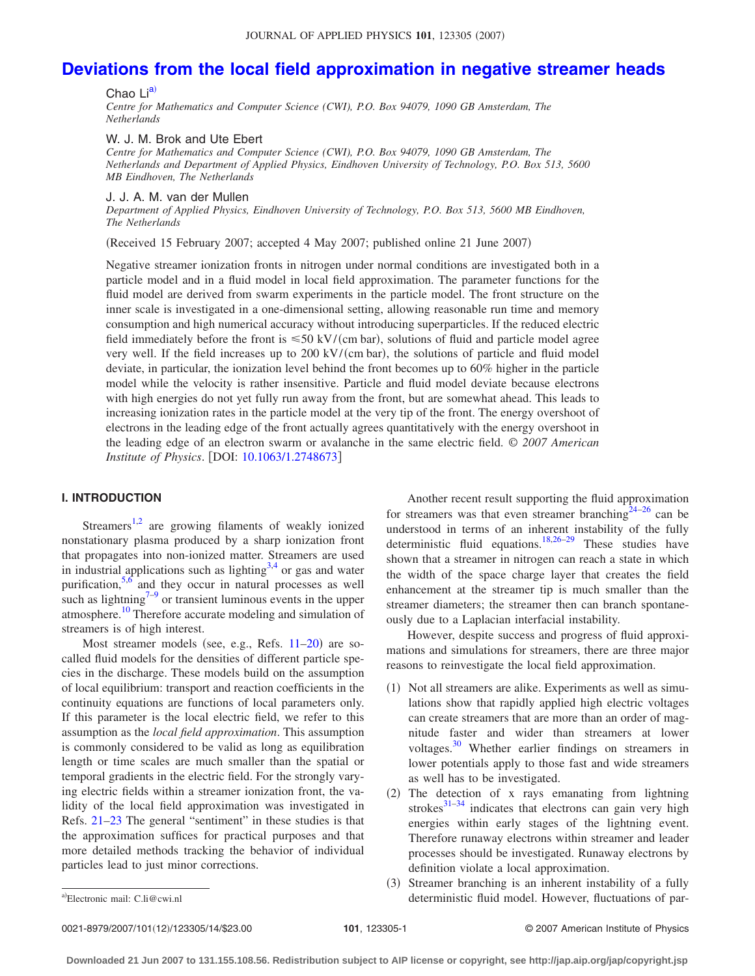# **[Deviations from the local field approximation in negative streamer heads](http://dx.doi.org/10.1063/1.2748673)**

Chao Li<sup>a)</sup>

*Centre for Mathematics and Computer Science (CWI), P.O. Box 94079, 1090 GB Amsterdam, The Netherlands*

W. J. M. Brok and Ute Ebert

*Centre for Mathematics and Computer Science (CWI), P.O. Box 94079, 1090 GB Amsterdam, The Netherlands and Department of Applied Physics, Eindhoven University of Technology, P.O. Box 513, 5600 MB Eindhoven, The Netherlands*

J. J. A. M. van der Mullen

*Department of Applied Physics, Eindhoven University of Technology, P.O. Box 513, 5600 MB Eindhoven, The Netherlands*

Received 15 February 2007; accepted 4 May 2007; published online 21 June 2007-

Negative streamer ionization fronts in nitrogen under normal conditions are investigated both in a particle model and in a fluid model in local field approximation. The parameter functions for the fluid model are derived from swarm experiments in the particle model. The front structure on the inner scale is investigated in a one-dimensional setting, allowing reasonable run time and memory consumption and high numerical accuracy without introducing superparticles. If the reduced electric field immediately before the front is  $\leq 50 \frac{\text{kV}}{\text{cm}}$  bar), solutions of fluid and particle model agree very well. If the field increases up to 200 kV/(cm bar), the solutions of particle and fluid model deviate, in particular, the ionization level behind the front becomes up to 60% higher in the particle model while the velocity is rather insensitive. Particle and fluid model deviate because electrons with high energies do not yet fully run away from the front, but are somewhat ahead. This leads to increasing ionization rates in the particle model at the very tip of the front. The energy overshoot of electrons in the leading edge of the front actually agrees quantitatively with the energy overshoot in the leading edge of an electron swarm or avalanche in the same electric field. © *2007 American Institute of Physics.* [DOI: [10.1063/1.2748673](http://dx.doi.org/10.1063/1.2748673)]

## **I. INTRODUCTION**

Streamers<sup>1[,2](#page-12-1)</sup> are growing filaments of weakly ionized nonstationary plasma produced by a sharp ionization front that propagates into non-ionized matter. Streamers are used in industrial applications such as lighting<sup>3,[4](#page-12-3)</sup> or gas and water purification, $5,6$  $5,6$  and they occur in natural processes as well such as lightning<sup> $7-9$  $7-9$ </sup> or transient luminous events in the upper atmosphere[.10](#page-13-1) Therefore accurate modeling and simulation of streamers is of high interest.

Most streamer models (see, e.g., Refs. [11–](#page-13-2)[20](#page-13-3)) are socalled fluid models for the densities of different particle species in the discharge. These models build on the assumption of local equilibrium: transport and reaction coefficients in the continuity equations are functions of local parameters only. If this parameter is the local electric field, we refer to this assumption as the *local field approximation*. This assumption is commonly considered to be valid as long as equilibration length or time scales are much smaller than the spatial or temporal gradients in the electric field. For the strongly varying electric fields within a streamer ionization front, the validity of the local field approximation was investigated in Refs. [21](#page-13-4)[–23](#page-13-5) The general "sentiment" in these studies is that the approximation suffices for practical purposes and that more detailed methods tracking the behavior of individual particles lead to just minor corrections.

Another recent result supporting the fluid approximation for streamers was that even streamer branching  $2^{4-26}$  can be understood in terms of an inherent instability of the fully deterministic fluid equations.<sup>18[,26](#page-13-7)[–29](#page-13-9)</sup> These studies have shown that a streamer in nitrogen can reach a state in which the width of the space charge layer that creates the field enhancement at the streamer tip is much smaller than the streamer diameters; the streamer then can branch spontaneously due to a Laplacian interfacial instability.

However, despite success and progress of fluid approximations and simulations for streamers, there are three major reasons to reinvestigate the local field approximation.

- (1) Not all streamers are alike. Experiments as well as simulations show that rapidly applied high electric voltages can create streamers that are more than an order of magnitude faster and wider than streamers at lower voltages[.30](#page-13-10) Whether earlier findings on streamers in lower potentials apply to those fast and wide streamers as well has to be investigated.
- (2) The detection of x rays emanating from lightning strokes $31-34$  $31-34$  indicates that electrons can gain very high energies within early stages of the lightning event. Therefore runaway electrons within streamer and leader processes should be investigated. Runaway electrons by definition violate a local approximation.
- (3) Streamer branching is an inherent instability of a fully deterministic fluid model. However, fluctuations of par-

0021-8979/2007/101(12)/123305/14/\$23.00

<span id="page-0-0"></span>Electronic mail: C.li@cwi.nl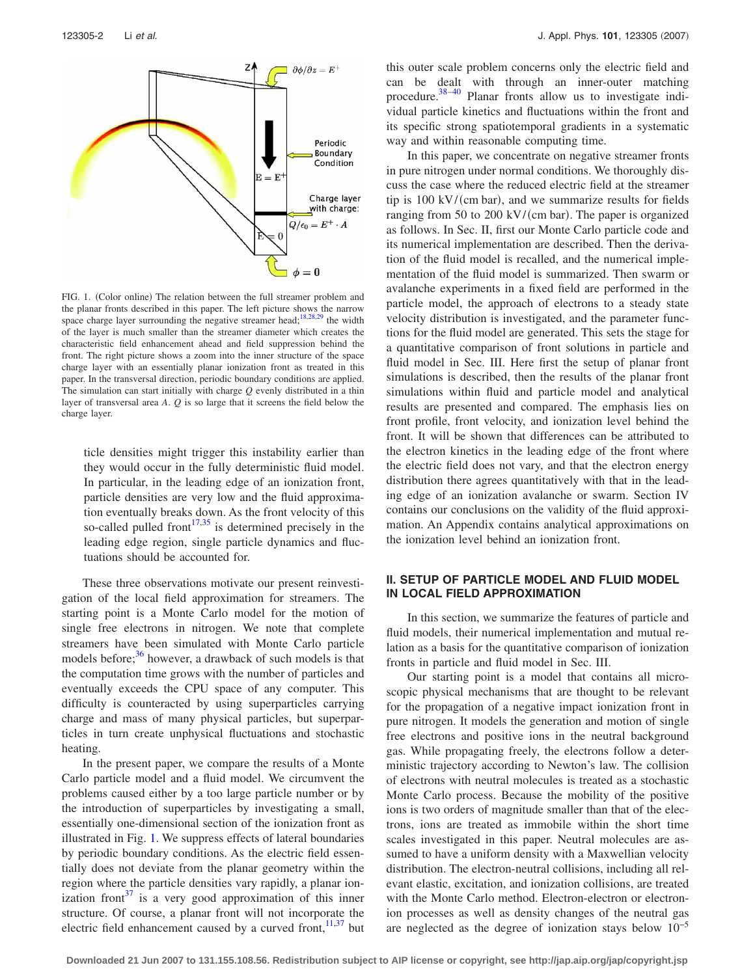<span id="page-1-0"></span>

FIG. 1. (Color online) The relation between the full streamer problem and the planar fronts described in this paper. The left picture shows the narrow space charge layer surrounding the negative streamer head;<sup>18,[28,](#page-13-19)[29](#page-13-9)</sup> the width of the layer is much smaller than the streamer diameter which creates the characteristic field enhancement ahead and field suppression behind the front. The right picture shows a zoom into the inner structure of the space charge layer with an essentially planar ionization front as treated in this paper. In the transversal direction, periodic boundary conditions are applied. The simulation can start initially with charge *Q* evenly distributed in a thin layer of transversal area *A*. *Q* is so large that it screens the field below the charge layer.

ticle densities might trigger this instability earlier than they would occur in the fully deterministic fluid model. In particular, in the leading edge of an ionization front, particle densities are very low and the fluid approximation eventually breaks down. As the front velocity of this so-called pulled front<sup>17[,35](#page-13-14)</sup> is determined precisely in the leading edge region, single particle dynamics and fluctuations should be accounted for.

These three observations motivate our present reinvestigation of the local field approximation for streamers. The starting point is a Monte Carlo model for the motion of single free electrons in nitrogen. We note that complete streamers have been simulated with Monte Carlo particle models before;<sup>36</sup> however, a drawback of such models is that the computation time grows with the number of particles and eventually exceeds the CPU space of any computer. This difficulty is counteracted by using superparticles carrying charge and mass of many physical particles, but superparticles in turn create unphysical fluctuations and stochastic heating.

In the present paper, we compare the results of a Monte Carlo particle model and a fluid model. We circumvent the problems caused either by a too large particle number or by the introduction of superparticles by investigating a small, essentially one-dimensional section of the ionization front as illustrated in Fig. [1.](#page-1-0) We suppress effects of lateral boundaries by periodic boundary conditions. As the electric field essentially does not deviate from the planar geometry within the region where the particle densities vary rapidly, a planar ionization front<sup>37</sup> is a very good approximation of this inner structure. Of course, a planar front will not incorporate the electric field enhancement caused by a curved front,  $11,37$  $11,37$  but this outer scale problem concerns only the electric field and can be dealt with through an inner-outer matching procedure[.38–](#page-13-17)[40](#page-13-18) Planar fronts allow us to investigate individual particle kinetics and fluctuations within the front and its specific strong spatiotemporal gradients in a systematic way and within reasonable computing time.

In this paper, we concentrate on negative streamer fronts in pure nitrogen under normal conditions. We thoroughly discuss the case where the reduced electric field at the streamer tip is 100 kV/(cm bar), and we summarize results for fields ranging from 50 to 200 kV/(cm bar). The paper is organized as follows. In Sec. II, first our Monte Carlo particle code and its numerical implementation are described. Then the derivation of the fluid model is recalled, and the numerical implementation of the fluid model is summarized. Then swarm or avalanche experiments in a fixed field are performed in the particle model, the approach of electrons to a steady state velocity distribution is investigated, and the parameter functions for the fluid model are generated. This sets the stage for a quantitative comparison of front solutions in particle and fluid model in Sec. III. Here first the setup of planar front simulations is described, then the results of the planar front simulations within fluid and particle model and analytical results are presented and compared. The emphasis lies on front profile, front velocity, and ionization level behind the front. It will be shown that differences can be attributed to the electron kinetics in the leading edge of the front where the electric field does not vary, and that the electron energy distribution there agrees quantitatively with that in the leading edge of an ionization avalanche or swarm. Section IV contains our conclusions on the validity of the fluid approximation. An Appendix contains analytical approximations on the ionization level behind an ionization front.

## **II. SETUP OF PARTICLE MODEL AND FLUID MODEL IN LOCAL FIELD APPROXIMATION**

In this section, we summarize the features of particle and fluid models, their numerical implementation and mutual relation as a basis for the quantitative comparison of ionization fronts in particle and fluid model in Sec. III.

Our starting point is a model that contains all microscopic physical mechanisms that are thought to be relevant for the propagation of a negative impact ionization front in pure nitrogen. It models the generation and motion of single free electrons and positive ions in the neutral background gas. While propagating freely, the electrons follow a deterministic trajectory according to Newton's law. The collision of electrons with neutral molecules is treated as a stochastic Monte Carlo process. Because the mobility of the positive ions is two orders of magnitude smaller than that of the electrons, ions are treated as immobile within the short time scales investigated in this paper. Neutral molecules are assumed to have a uniform density with a Maxwellian velocity distribution. The electron-neutral collisions, including all relevant elastic, excitation, and ionization collisions, are treated with the Monte Carlo method. Electron-electron or electronion processes as well as density changes of the neutral gas are neglected as the degree of ionization stays below 10−5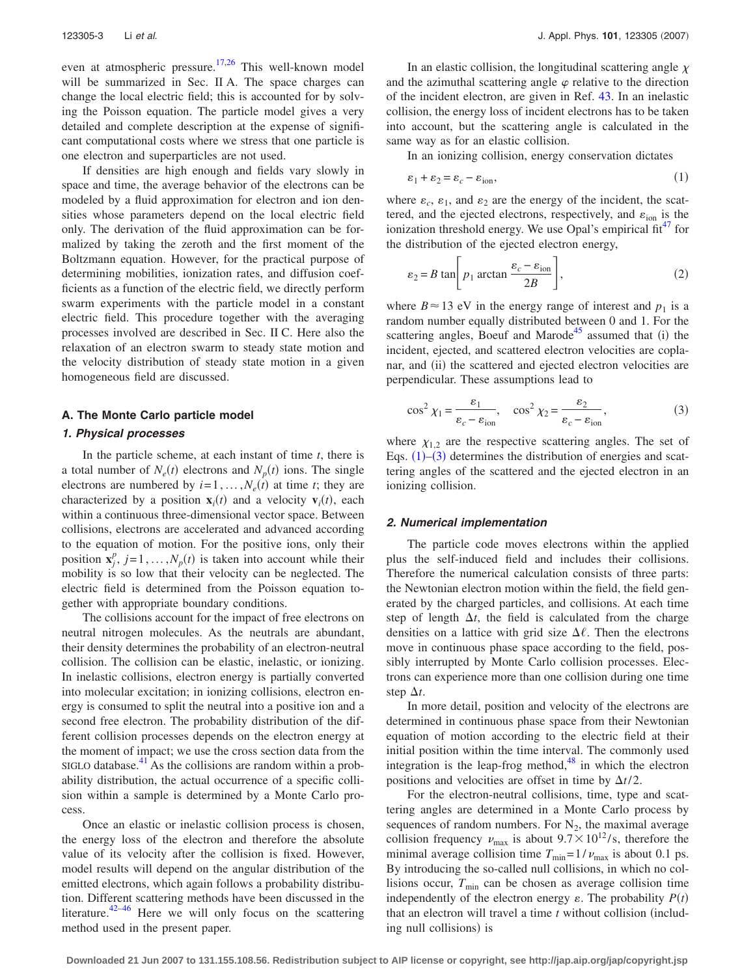even at atmospheric pressure.<sup>17,[26](#page-13-7)</sup> This well-known model will be summarized in Sec. II A. The space charges can change the local electric field; this is accounted for by solving the Poisson equation. The particle model gives a very detailed and complete description at the expense of significant computational costs where we stress that one particle is one electron and superparticles are not used.

If densities are high enough and fields vary slowly in space and time, the average behavior of the electrons can be modeled by a fluid approximation for electron and ion densities whose parameters depend on the local electric field only. The derivation of the fluid approximation can be formalized by taking the zeroth and the first moment of the Boltzmann equation. However, for the practical purpose of determining mobilities, ionization rates, and diffusion coefficients as a function of the electric field, we directly perform swarm experiments with the particle model in a constant electric field. This procedure together with the averaging processes involved are described in Sec. II C. Here also the relaxation of an electron swarm to steady state motion and the velocity distribution of steady state motion in a given homogeneous field are discussed.

#### **A. The Monte Carlo particle model**

## *1. Physical processes*

In the particle scheme, at each instant of time *t*, there is a total number of  $N_e(t)$  electrons and  $N_p(t)$  ions. The single electrons are numbered by  $i = 1, ..., N_e(t)$  at time *t*; they are characterized by a position  $\mathbf{x}_i(t)$  and a velocity  $\mathbf{v}_i(t)$ , each within a continuous three-dimensional vector space. Between collisions, electrons are accelerated and advanced according to the equation of motion. For the positive ions, only their position  $\mathbf{x}_j^p$ ,  $j = 1, ..., N_p(t)$  is taken into account while their mobility is so low that their velocity can be neglected. The electric field is determined from the Poisson equation together with appropriate boundary conditions.

The collisions account for the impact of free electrons on neutral nitrogen molecules. As the neutrals are abundant, their density determines the probability of an electron-neutral collision. The collision can be elastic, inelastic, or ionizing. In inelastic collisions, electron energy is partially converted into molecular excitation; in ionizing collisions, electron energy is consumed to split the neutral into a positive ion and a second free electron. The probability distribution of the different collision processes depends on the electron energy at the moment of impact; we use the cross section data from the SIGLO database. $41$  As the collisions are random within a probability distribution, the actual occurrence of a specific collision within a sample is determined by a Monte Carlo process.

Once an elastic or inelastic collision process is chosen, the energy loss of the electron and therefore the absolute value of its velocity after the collision is fixed. However, model results will depend on the angular distribution of the emitted electrons, which again follows a probability distribution. Different scattering methods have been discussed in the literature. $42-46$  $42-46$  Here we will only focus on the scattering method used in the present paper.

In an elastic collision, the longitudinal scattering angle  $\chi$ and the azimuthal scattering angle  $\varphi$  relative to the direction of the incident electron, are given in Ref. [43.](#page-13-23) In an inelastic collision, the energy loss of incident electrons has to be taken into account, but the scattering angle is calculated in the same way as for an elastic collision.

In an ionizing collision, energy conservation dictates

$$
\varepsilon_1 + \varepsilon_2 = \varepsilon_c - \varepsilon_{\text{ion}},\tag{1}
$$

<span id="page-2-0"></span>where  $\varepsilon_c$ ,  $\varepsilon_1$ , and  $\varepsilon_2$  are the energy of the incident, the scattered, and the ejected electrons, respectively, and  $\varepsilon_{\text{ion}}$  is the ionization threshold energy. We use Opal's empirical  $\text{fit}^{4}$  for the distribution of the ejected electron energy,

$$
\varepsilon_2 = B \tan \left[ p_1 \arctan \frac{\varepsilon_c - \varepsilon_{\text{ion}}}{2B} \right],\tag{2}
$$

where  $B \approx 13$  eV in the energy range of interest and  $p_1$  is a random number equally distributed between 0 and 1. For the scattering angles, Boeuf and Marode<sup>45</sup> assumed that  $(i)$  the incident, ejected, and scattered electron velocities are coplanar, and (ii) the scattered and ejected electron velocities are perpendicular. These assumptions lead to

<span id="page-2-1"></span>
$$
\cos^2 \chi_1 = \frac{\varepsilon_1}{\varepsilon_c - \varepsilon_{\text{ion}}}, \quad \cos^2 \chi_2 = \frac{\varepsilon_2}{\varepsilon_c - \varepsilon_{\text{ion}}}, \tag{3}
$$

where  $\chi_{1,2}$  are the respective scattering angles. The set of Eqs.  $(1)$  $(1)$  $(1)$ – $(3)$  $(3)$  $(3)$  determines the distribution of energies and scattering angles of the scattered and the ejected electron in an ionizing collision.

#### *2. Numerical implementation*

The particle code moves electrons within the applied plus the self-induced field and includes their collisions. Therefore the numerical calculation consists of three parts: the Newtonian electron motion within the field, the field generated by the charged particles, and collisions. At each time step of length  $\Delta t$ , the field is calculated from the charge densities on a lattice with grid size  $\Delta \ell$ . Then the electrons move in continuous phase space according to the field, possibly interrupted by Monte Carlo collision processes. Electrons can experience more than one collision during one time step  $\Delta t$ .

In more detail, position and velocity of the electrons are determined in continuous phase space from their Newtonian equation of motion according to the electric field at their initial position within the time interval. The commonly used integration is the leap-frog method, $48$  in which the electron positions and velocities are offset in time by  $\Delta t/2$ .

For the electron-neutral collisions, time, type and scattering angles are determined in a Monte Carlo process by sequences of random numbers. For  $N_2$ , the maximal average collision frequency  $\nu_{\text{max}}$  is about  $9.7 \times 10^{12} / s$ , therefore the minimal average collision time  $T_{\text{min}}=1/\nu_{\text{max}}$  is about 0.1 ps. By introducing the so-called null collisions, in which no collisions occur,  $T_{\text{min}}$  can be chosen as average collision time independently of the electron energy  $\varepsilon$ . The probability  $P(t)$ that an electron will travel a time  $t$  without collision (including null collisions) is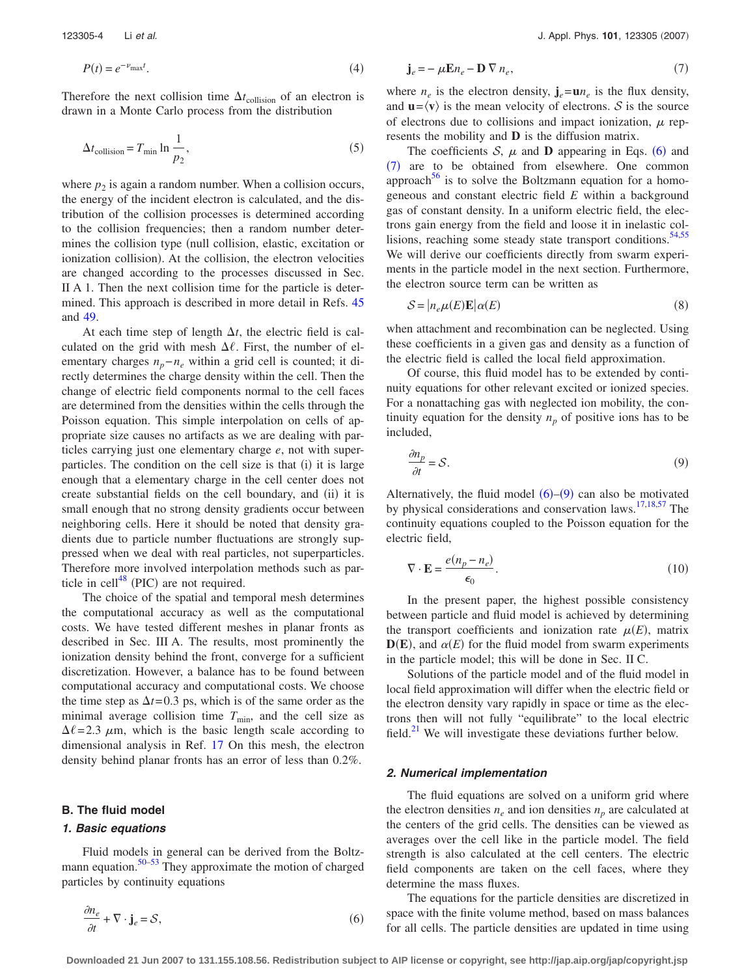$$
P(t) = e^{-\nu_{\text{max}}t}.\tag{4}
$$

Therefore the next collision time  $\Delta t_{\text{collision}}$  of an electron is drawn in a Monte Carlo process from the distribution

$$
\Delta t_{\text{collision}} = T_{\text{min}} \ln \frac{1}{p_2},\tag{5}
$$

where  $p_2$  is again a random number. When a collision occurs, the energy of the incident electron is calculated, and the distribution of the collision processes is determined according to the collision frequencies; then a random number determines the collision type (null collision, elastic, excitation or ionization collision). At the collision, the electron velocities are changed according to the processes discussed in Sec. II A 1. Then the next collision time for the particle is determined. This approach is described in more detail in Refs. [45](#page-13-24) and [49.](#page-13-26)

At each time step of length  $\Delta t$ , the electric field is calculated on the grid with mesh  $\Delta \ell$ . First, the number of elementary charges  $n_p - n_e$  within a grid cell is counted; it directly determines the charge density within the cell. Then the change of electric field components normal to the cell faces are determined from the densities within the cells through the Poisson equation. This simple interpolation on cells of appropriate size causes no artifacts as we are dealing with particles carrying just one elementary charge *e*, not with superparticles. The condition on the cell size is that (i) it is large enough that a elementary charge in the cell center does not create substantial fields on the cell boundary, and (ii) it is small enough that no strong density gradients occur between neighboring cells. Here it should be noted that density gradients due to particle number fluctuations are strongly suppressed when we deal with real particles, not superparticles. Therefore more involved interpolation methods such as particle in cell $^{48}$  (PIC) are not required.

The choice of the spatial and temporal mesh determines the computational accuracy as well as the computational costs. We have tested different meshes in planar fronts as described in Sec. III A. The results, most prominently the ionization density behind the front, converge for a sufficient discretization. However, a balance has to be found between computational accuracy and computational costs. We choose the time step as  $\Delta t = 0.3$  ps, which is of the same order as the minimal average collision time  $T_{\text{min}}$ , and the cell size as  $\Delta \ell$  = 2.3  $\mu$ m, which is the basic length scale according to dimensional analysis in Ref. [17](#page-13-13) On this mesh, the electron density behind planar fronts has an error of less than 0.2%.

## **B. The fluid model**

## *1. Basic equations*

Fluid models in general can be derived from the Boltz-mann equation.<sup>50–[53](#page-13-28)</sup> They approximate the motion of charged particles by continuity equations

<span id="page-3-0"></span>
$$
\frac{\partial n_e}{\partial t} + \nabla \cdot \mathbf{j}_e = \mathcal{S},\tag{6}
$$

<span id="page-3-1"></span>
$$
\mathbf{j}_e = -\mu \mathbf{E} n_e - \mathbf{D} \nabla n_e,\tag{7}
$$

where  $n_e$  is the electron density,  $\mathbf{j}_e = \mathbf{u} n_e$  is the flux density, and  $\mathbf{u} = \langle \mathbf{v} \rangle$  is the mean velocity of electrons. S is the source of electrons due to collisions and impact ionization,  $\mu$  represents the mobility and **D** is the diffusion matrix.

The coefficients  $S$ ,  $\mu$  and **D** appearing in Eqs. ([6](#page-3-0)) and ([7](#page-3-1)) are to be obtained from elsewhere. One common approach<sup>36</sup> is to solve the Boltzmann equation for a homogeneous and constant electric field *E* within a background gas of constant density. In a uniform electric field, the electrons gain energy from the field and loose it in inelastic col-lisions, reaching some steady state transport conditions.<sup>54[,55](#page-13-31)</sup> We will derive our coefficients directly from swarm experiments in the particle model in the next section. Furthermore, the electron source term can be written as

$$
S = |n_e \mu(E) \mathbf{E} | \alpha(E)
$$
 (8)

<span id="page-3-4"></span>when attachment and recombination can be neglected. Using these coefficients in a given gas and density as a function of the electric field is called the local field approximation.

Of course, this fluid model has to be extended by continuity equations for other relevant excited or ionized species. For a nonattaching gas with neglected ion mobility, the continuity equation for the density  $n_p$  of positive ions has to be included,

<span id="page-3-2"></span>
$$
\frac{\partial n_p}{\partial t} = S. \tag{9}
$$

Alternatively, the fluid model  $(6)$  $(6)$  $(6)$ – $(9)$  $(9)$  $(9)$  can also be motivated by physical considerations and conservation laws.<sup>17,[18,](#page-13-8)[57](#page-13-32)</sup> The continuity equations coupled to the Poisson equation for the electric field,

<span id="page-3-3"></span>
$$
\nabla \cdot \mathbf{E} = \frac{e(n_p - n_e)}{\epsilon_0}.
$$
 (10)

In the present paper, the highest possible consistency between particle and fluid model is achieved by determining the transport coefficients and ionization rate  $\mu(E)$ , matrix  $D(E)$ , and  $\alpha(E)$  for the fluid model from swarm experiments in the particle model; this will be done in Sec. II C.

Solutions of the particle model and of the fluid model in local field approximation will differ when the electric field or the electron density vary rapidly in space or time as the electrons then will not fully "equilibrate" to the local electric field. $^{21}$  We will investigate these deviations further below.

#### *2. Numerical implementation*

The fluid equations are solved on a uniform grid where the electron densities  $n_e$  and ion densities  $n_p$  are calculated at the centers of the grid cells. The densities can be viewed as averages over the cell like in the particle model. The field strength is also calculated at the cell centers. The electric field components are taken on the cell faces, where they determine the mass fluxes.

The equations for the particle densities are discretized in space with the finite volume method, based on mass balances for all cells. The particle densities are updated in time using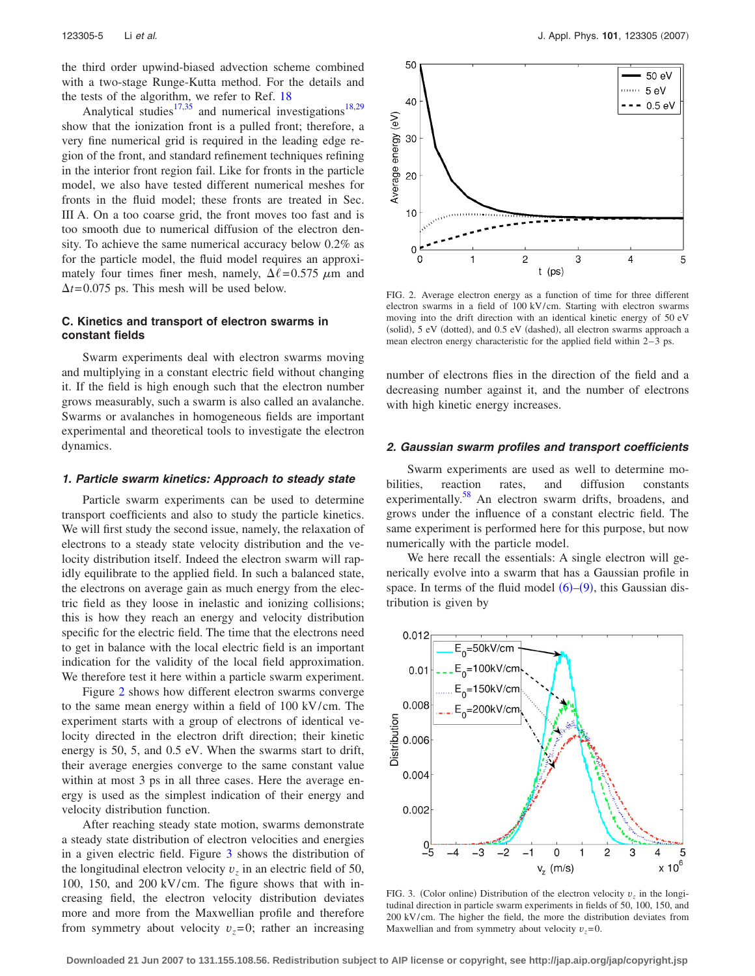the third order upwind-biased advection scheme combined with a two-stage Runge-Kutta method. For the details and the tests of the algorithm, we refer to Ref. [18](#page-13-8)

Analytical studies<sup>17,[35](#page-13-14)</sup> and numerical investigations<sup>18,[29](#page-13-9)</sup> show that the ionization front is a pulled front; therefore, a very fine numerical grid is required in the leading edge region of the front, and standard refinement techniques refining in the interior front region fail. Like for fronts in the particle model, we also have tested different numerical meshes for fronts in the fluid model; these fronts are treated in Sec. III A. On a too coarse grid, the front moves too fast and is too smooth due to numerical diffusion of the electron density. To achieve the same numerical accuracy below 0.2% as for the particle model, the fluid model requires an approximately four times finer mesh, namely,  $\Delta \ell = 0.575 \mu m$  and  $\Delta t$ = 0.075 ps. This mesh will be used below.

## **C. Kinetics and transport of electron swarms in constant fields**

Swarm experiments deal with electron swarms moving and multiplying in a constant electric field without changing it. If the field is high enough such that the electron number grows measurably, such a swarm is also called an avalanche. Swarms or avalanches in homogeneous fields are important experimental and theoretical tools to investigate the electron dynamics.

## *1. Particle swarm kinetics: Approach to steady state*

Particle swarm experiments can be used to determine transport coefficients and also to study the particle kinetics. We will first study the second issue, namely, the relaxation of electrons to a steady state velocity distribution and the velocity distribution itself. Indeed the electron swarm will rapidly equilibrate to the applied field. In such a balanced state, the electrons on average gain as much energy from the electric field as they loose in inelastic and ionizing collisions; this is how they reach an energy and velocity distribution specific for the electric field. The time that the electrons need to get in balance with the local electric field is an important indication for the validity of the local field approximation. We therefore test it here within a particle swarm experiment.

Figure [2](#page-4-0) shows how different electron swarms converge to the same mean energy within a field of 100 kV/cm. The experiment starts with a group of electrons of identical velocity directed in the electron drift direction; their kinetic energy is 50, 5, and 0.5 eV. When the swarms start to drift, their average energies converge to the same constant value within at most 3 ps in all three cases. Here the average energy is used as the simplest indication of their energy and velocity distribution function.

After reaching steady state motion, swarms demonstrate a steady state distribution of electron velocities and energies in a given electric field. Figure [3](#page-4-1) shows the distribution of the longitudinal electron velocity  $v<sub>z</sub>$  in an electric field of 50, 100, 150, and 200 kV/cm. The figure shows that with increasing field, the electron velocity distribution deviates more and more from the Maxwellian profile and therefore from symmetry about velocity  $v_z = 0$ ; rather an increasing

<span id="page-4-0"></span>

FIG. 2. Average electron energy as a function of time for three different electron swarms in a field of 100 kV/cm. Starting with electron swarms moving into the drift direction with an identical kinetic energy of 50 eV (solid), 5 eV (dotted), and 0.5 eV (dashed), all electron swarms approach a mean electron energy characteristic for the applied field within  $2-3$  ps.

number of electrons flies in the direction of the field and a decreasing number against it, and the number of electrons with high kinetic energy increases.

#### *2. Gaussian swarm profiles and transport coefficients*

Swarm experiments are used as well to determine mobilities, reaction rates, and diffusion constants experimentally.<sup>58</sup> An electron swarm drifts, broadens, and grows under the influence of a constant electric field. The same experiment is performed here for this purpose, but now numerically with the particle model.

We here recall the essentials: A single electron will generically evolve into a swarm that has a Gaussian profile in space. In terms of the fluid model  $(6)$  $(6)$  $(6)$ – $(9)$  $(9)$  $(9)$ , this Gaussian distribution is given by

<span id="page-4-1"></span>

FIG. 3. (Color online) Distribution of the electron velocity  $v_z$  in the longitudinal direction in particle swarm experiments in fields of 50, 100, 150, and 200 kV/cm. The higher the field, the more the distribution deviates from Maxwellian and from symmetry about velocity  $v_z = 0$ .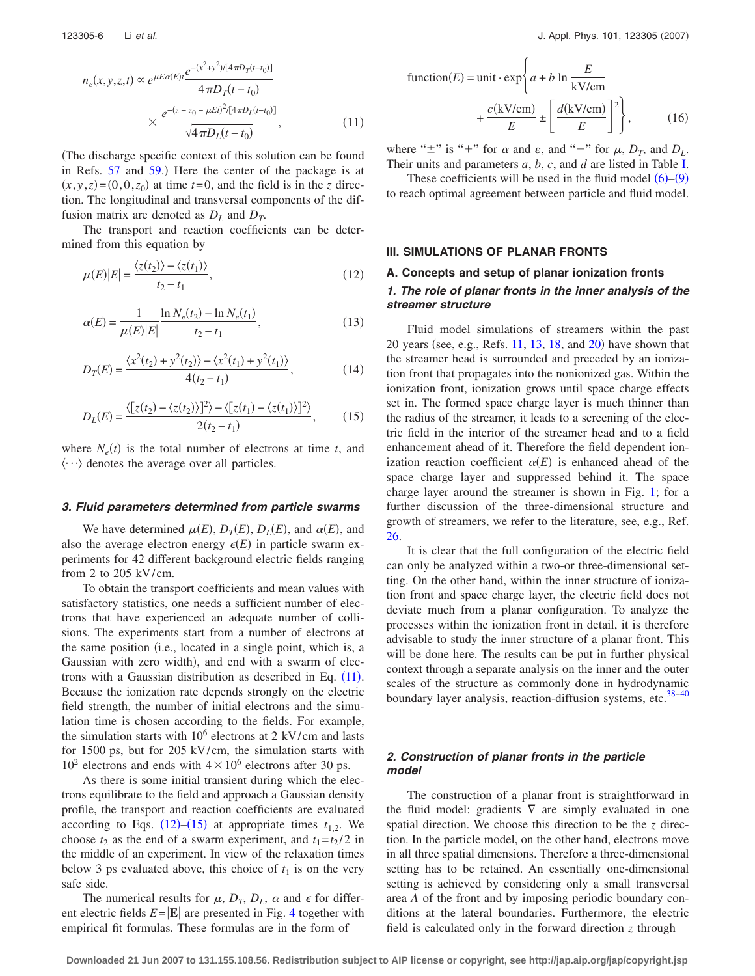<span id="page-5-0"></span>
$$
n_e(x, y, z, t) \propto e^{\mu E \alpha(E)t} \frac{e^{-(x^2 + y^2)/[4\pi D_T(t - t_0)]}}{4\pi D_T(t - t_0)}
$$

$$
\times \frac{e^{-(z - z_0 - \mu E t)^2/[4\pi D_L(t - t_0)]}}{\sqrt{4\pi D_L(t - t_0)}},
$$
(11)

The discharge specific context of this solution can be found in Refs. [57](#page-13-32) and [59.](#page-13-34)) Here the center of the package is at  $(x, y, z) = (0, 0, z_0)$  at time  $t = 0$ , and the field is in the *z* direction. The longitudinal and transversal components of the diffusion matrix are denoted as  $D_L$  and  $D_T$ .

<span id="page-5-1"></span>The transport and reaction coefficients can be determined from this equation by

$$
\mu(E)|E| = \frac{\langle z(t_2) \rangle - \langle z(t_1) \rangle}{t_2 - t_1},\tag{12}
$$

$$
\alpha(E) = \frac{1}{\mu(E)|E|} \frac{\ln N_e(t_2) - \ln N_e(t_1)}{t_2 - t_1},\tag{13}
$$

$$
D_T(E) = \frac{\langle x^2(t_2) + y^2(t_2) \rangle - \langle x^2(t_1) + y^2(t_1) \rangle}{4(t_2 - t_1)},
$$
\n(14)

<span id="page-5-2"></span>
$$
D_L(E) = \frac{\langle [z(t_2) - \langle z(t_2) \rangle]^2 \rangle - \langle [z(t_1) - \langle z(t_1) \rangle]^2 \rangle}{2(t_2 - t_1)},\tag{15}
$$

where  $N_e(t)$  is the total number of electrons at time *t*, and  $\langle \cdots \rangle$  denotes the average over all particles.

#### *3. Fluid parameters determined from particle swarms*

We have determined  $\mu(E)$ ,  $D_T(E)$ ,  $D_L(E)$ , and  $\alpha(E)$ , and also the average electron energy  $\epsilon(E)$  in particle swarm experiments for 42 different background electric fields ranging from 2 to 205 kV/cm.

To obtain the transport coefficients and mean values with satisfactory statistics, one needs a sufficient number of electrons that have experienced an adequate number of collisions. The experiments start from a number of electrons at the same position (i.e., located in a single point, which is, a Gaussian with zero width), and end with a swarm of electrons with a Gaussian distribution as described in Eq.  $(11)$  $(11)$  $(11)$ . Because the ionization rate depends strongly on the electric field strength, the number of initial electrons and the simulation time is chosen according to the fields. For example, the simulation starts with  $10^6$  electrons at 2 kV/cm and lasts for 1500 ps, but for 205 kV/cm, the simulation starts with  $10^2$  electrons and ends with  $4 \times 10^6$  electrons after 30 ps.

As there is some initial transient during which the electrons equilibrate to the field and approach a Gaussian density profile, the transport and reaction coefficients are evaluated according to Eqs.  $(12)$  $(12)$  $(12)$ – $(15)$  $(15)$  $(15)$  at appropriate times  $t_{1,2}$ . We choose  $t_2$  as the end of a swarm experiment, and  $t_1 = t_2 / 2$  in the middle of an experiment. In view of the relaxation times below 3 ps evaluated above, this choice of  $t_1$  is on the very safe side.

The numerical results for  $\mu$ ,  $D_T$ ,  $D_L$ ,  $\alpha$  and  $\epsilon$  for different electric fields  $E = |\mathbf{E}|$  are presented in Fig. [4](#page-6-0) together with empirical fit formulas. These formulas are in the form of

<span id="page-5-3"></span>function(E) = unit 
$$
\cdot
$$
 exp $\left\{ a + b \ln \frac{E}{kV/cm} + \frac{c(kV/cm)}{E} \pm \left[ \frac{d(kV/cm)}{E} \right]^2 \right\},$  (16)

where " $\pm$ " is "+" for  $\alpha$  and  $\varepsilon$ , and "-" for  $\mu$ ,  $D_T$ , and  $D_L$ . Their units and parameters *a*, *b*, *c*, and *d* are listed in Table [I.](#page-6-1)

These coefficients will be used in the fluid model  $(6)$  $(6)$  $(6)$ – $(9)$  $(9)$  $(9)$ to reach optimal agreement between particle and fluid model.

## **III. SIMULATIONS OF PLANAR FRONTS**

# **A. Concepts and setup of planar ionization fronts** *1. The role of planar fronts in the inner analysis of the streamer structure*

Fluid model simulations of streamers within the past [20](#page-13-3) years (see, e.g., Refs.  $11, 13, 18$  $11, 13, 18$  $11, 13, 18$  $11, 13, 18$ , and  $20$ ) have shown that the streamer head is surrounded and preceded by an ionization front that propagates into the nonionized gas. Within the ionization front, ionization grows until space charge effects set in. The formed space charge layer is much thinner than the radius of the streamer, it leads to a screening of the electric field in the interior of the streamer head and to a field enhancement ahead of it. Therefore the field dependent ionization reaction coefficient  $\alpha(E)$  is enhanced ahead of the space charge layer and suppressed behind it. The space charge layer around the streamer is shown in Fig. [1;](#page-1-0) for a further discussion of the three-dimensional structure and growth of streamers, we refer to the literature, see, e.g., Ref. [26.](#page-13-7)

It is clear that the full configuration of the electric field can only be analyzed within a two-or three-dimensional setting. On the other hand, within the inner structure of ionization front and space charge layer, the electric field does not deviate much from a planar configuration. To analyze the processes within the ionization front in detail, it is therefore advisable to study the inner structure of a planar front. This will be done here. The results can be put in further physical context through a separate analysis on the inner and the outer scales of the structure as commonly done in hydrodynamic boundary layer analysis, reaction-diffusion systems, etc.<sup>38-[40](#page-13-18)</sup>

## *2. Construction of planar fronts in the particle model*

The construction of a planar front is straightforward in the fluid model: gradients  $\nabla$  are simply evaluated in one spatial direction. We choose this direction to be the *z* direction. In the particle model, on the other hand, electrons move in all three spatial dimensions. Therefore a three-dimensional setting has to be retained. An essentially one-dimensional setting is achieved by considering only a small transversal area *A* of the front and by imposing periodic boundary conditions at the lateral boundaries. Furthermore, the electric field is calculated only in the forward direction *z* through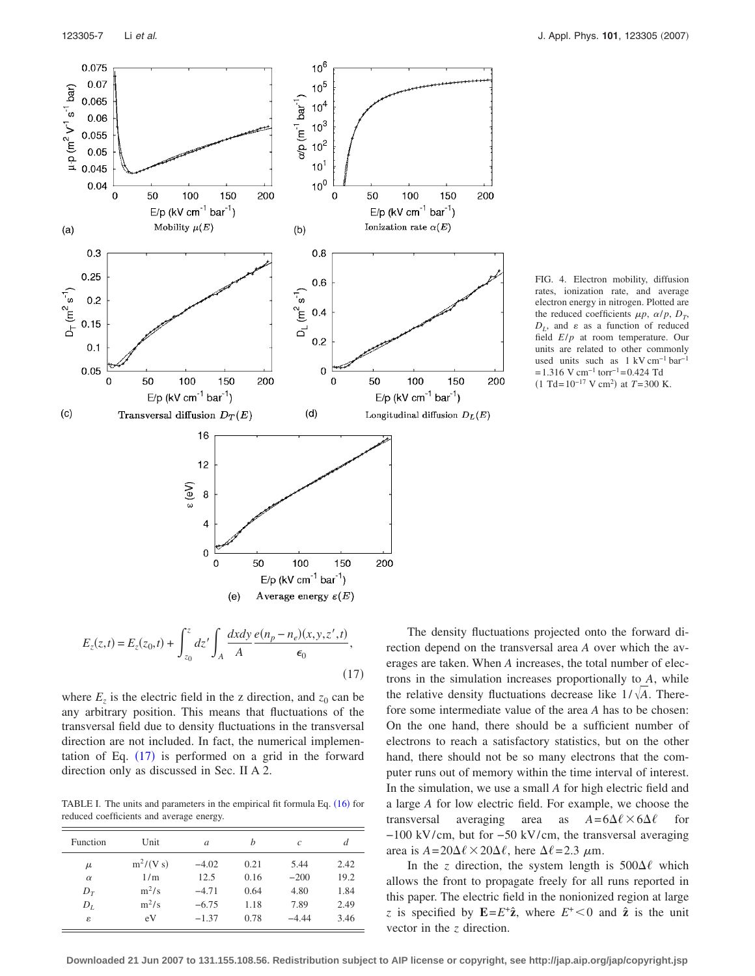<span id="page-6-0"></span>

FIG. 4. Electron mobility, diffusion rates, ionization rate, and average electron energy in nitrogen. Plotted are the reduced coefficients  $\mu p$ ,  $\alpha/p$ ,  $D_T$ ,  $D<sub>L</sub>$ , and  $\varepsilon$  as a function of reduced field  $E/p$  at room temperature. Our units are related to other commonly used units such as  $1 \text{ kV cm}^{-1} \text{ bar}^{-1}$ = 1.316 V cm−1 torr−1= 0.424 Td  $(1 \text{ Td} = 10^{-17} \text{ V cm}^2)$  at  $T = 300 \text{ K}$ .

<span id="page-6-2"></span>
$$
E_z(z,t) = E_z(z_0,t) + \int_{z_0}^{z} dz' \int_A \frac{dx dy}{A} \frac{e(n_p - n_e)(x, y, z', t)}{\epsilon_0},
$$
\n(17)

where  $E_z$  is the electric field in the z direction, and  $z_0$  can be any arbitrary position. This means that fluctuations of the transversal field due to density fluctuations in the transversal direction are not included. In fact, the numerical implementation of Eq.  $(17)$  $(17)$  $(17)$  is performed on a grid in the forward direction only as discussed in Sec. II A 2.

<span id="page-6-1"></span>TABLE I. The units and parameters in the empirical fit formula Eq. ([16](#page-5-3)) for reduced coefficients and average energy.

| Function | Unit        | $\mathfrak a$ | h    | с       | d    |
|----------|-------------|---------------|------|---------|------|
| μ        | $m^2/(V s)$ | $-4.02$       | 0.21 | 5.44    | 2.42 |
| $\alpha$ | 1/m         | 12.5          | 0.16 | $-200$  | 19.2 |
| $D_T$    | $m^2/s$     | $-4.71$       | 0.64 | 4.80    | 1.84 |
| $D_L$    | $m^2/s$     | $-6.75$       | 1.18 | 7.89    | 2.49 |
| ε        | eV          | $-1.37$       | 0.78 | $-4.44$ | 3.46 |

The density fluctuations projected onto the forward direction depend on the transversal area *A* over which the averages are taken. When *A* increases, the total number of electrons in the simulation increases proportionally to *A*, while the relative density fluctuations decrease like  $1/\sqrt{A}$ . Therefore some intermediate value of the area *A* has to be chosen: On the one hand, there should be a sufficient number of electrons to reach a satisfactory statistics, but on the other hand, there should not be so many electrons that the computer runs out of memory within the time interval of interest. In the simulation, we use a small *A* for high electric field and a large *A* for low electric field. For example, we choose the transversal averaging area as  $A = 6\Delta \ell \times 6\Delta \ell$  for −100 kV/cm, but for −50 kV/cm, the transversal averaging area is  $A = 20\Delta \ell \times 20\Delta \ell$ , here  $\Delta \ell = 2.3$   $\mu$ m.

In the *z* direction, the system length is  $500\Delta\ell$  which allows the front to propagate freely for all runs reported in this paper. The electric field in the nonionized region at large *z* is specified by  $\mathbf{E} = E^+ \hat{\mathbf{z}}$ , where  $E^+ \leq 0$  and  $\hat{\mathbf{z}}$  is the unit vector in the *z* direction.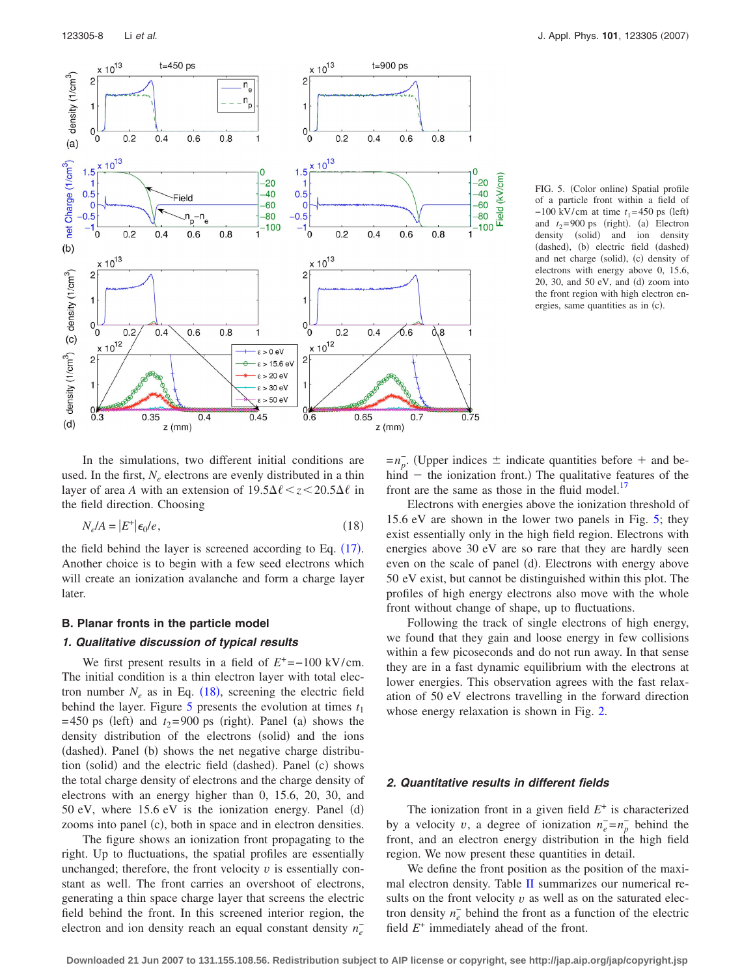<span id="page-7-1"></span>

FIG. 5. (Color online) Spatial profile of a particle front within a field of  $-100 \text{ kV/cm at time } t_1 = 450 \text{ ps (left)}$ and  $t_2$ =900 ps (right). (a) Electron density (solid) and ion density (dashed), (b) electric field (dashed) and net charge (solid), (c) density of electrons with energy above 0, 15.6,  $20$ ,  $30$ , and  $50$  eV, and  $(d)$  zoom into the front region with high electron energies, same quantities as in (c).

In the simulations, two different initial conditions are used. In the first,  $N_e$  electrons are evenly distributed in a thin layer of area *A* with an extension of  $19.5\Delta \ell < z < 20.5\Delta \ell$  in the field direction. Choosing

$$
N_e/A = |E^+| \epsilon_0 / e, \qquad (18)
$$

<span id="page-7-0"></span>the field behind the layer is screened according to Eq.  $(17)$  $(17)$  $(17)$ . Another choice is to begin with a few seed electrons which will create an ionization avalanche and form a charge layer later.

## **B. Planar fronts in the particle model**

## *1. Qualitative discussion of typical results*

We first present results in a field of  $E^+ = -100 \text{ kV/cm}$ . The initial condition is a thin electron layer with total electron number  $N_e$  as in Eq. ([18](#page-7-0)), screening the electric field behind the layer. Figure  $5$  presents the evolution at times  $t_1$  $= 450$  ps (left) and  $t_2 = 900$  ps (right). Panel (a) shows the density distribution of the electrons (solid) and the ions (dashed). Panel (b) shows the net negative charge distribution (solid) and the electric field (dashed). Panel (c) shows the total charge density of electrons and the charge density of electrons with an energy higher than 0, 15.6, 20, 30, and 50 eV, where 15.6 eV is the ionization energy. Panel (d) zooms into panel (c), both in space and in electron densities.

The figure shows an ionization front propagating to the right. Up to fluctuations, the spatial profiles are essentially unchanged; therefore, the front velocity *v* is essentially constant as well. The front carries an overshoot of electrons, generating a thin space charge layer that screens the electric field behind the front. In this screened interior region, the electron and ion density reach an equal constant density  $n_e^-$ 

 $=n_p^-$ . (Upper indices  $\pm$  indicate quantities before  $+$  and behind  $-$  the ionization front.) The qualitative features of the front are the same as those in the fluid model. $\frac{1}{1}$ 

Electrons with energies above the ionization threshold of 15.6 eV are shown in the lower two panels in Fig. [5;](#page-7-1) they exist essentially only in the high field region. Electrons with energies above 30 eV are so rare that they are hardly seen even on the scale of panel (d). Electrons with energy above 50 eV exist, but cannot be distinguished within this plot. The profiles of high energy electrons also move with the whole front without change of shape, up to fluctuations.

Following the track of single electrons of high energy, we found that they gain and loose energy in few collisions within a few picoseconds and do not run away. In that sense they are in a fast dynamic equilibrium with the electrons at lower energies. This observation agrees with the fast relaxation of 50 eV electrons travelling in the forward direction whose energy relaxation is shown in Fig. [2.](#page-4-0)

## *2. Quantitative results in different fields*

The ionization front in a given field  $E^+$  is characterized by a velocity *v*, a degree of ionization  $n_e = n_p$  behind the front, and an electron energy distribution in the high field region. We now present these quantities in detail.

We define the front position as the position of the maximal electron density. Table [II](#page-8-0) summarizes our numerical results on the front velocity  $v$  as well as on the saturated electron density  $n_e^-$  behind the front as a function of the electric field *E*<sup>+</sup> immediately ahead of the front.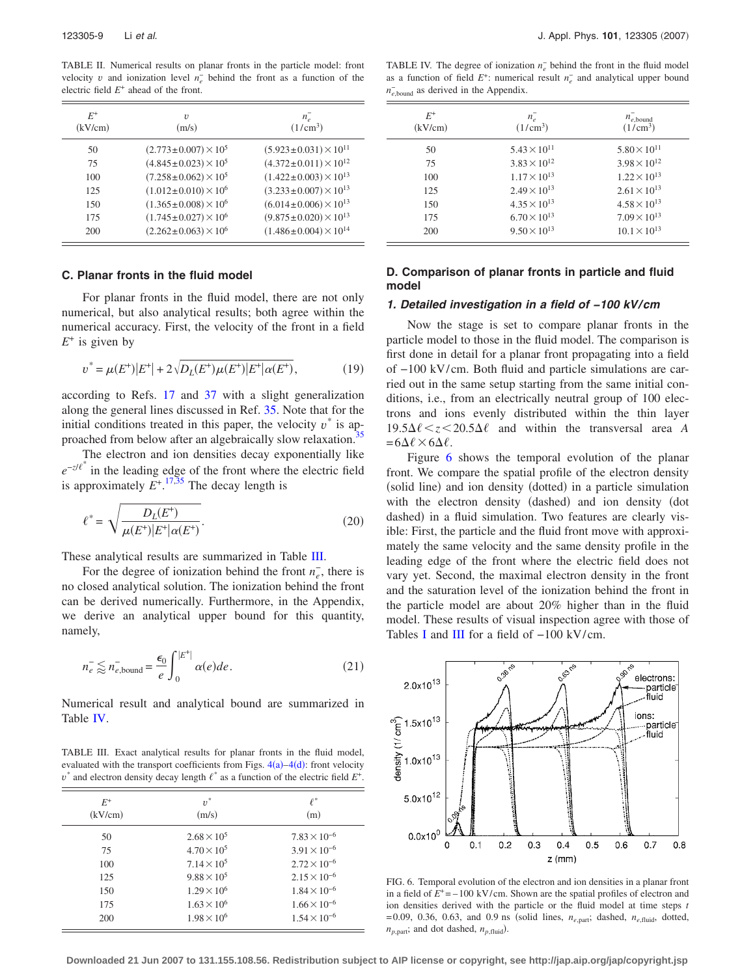<span id="page-8-0"></span>TABLE II. Numerical results on planar fronts in the particle model: front velocity *v* and ionization level  $n_e^-$  behind the front as a function of the electric field *E*<sup>+</sup> ahead of the front.

| $E^+$<br>(kV/cm) | $\overline{U}$<br>(m/s)         | $n_{\circ}^-$<br>(1/cm <sup>3</sup> ) |
|------------------|---------------------------------|---------------------------------------|
| 50               | $(2.773 \pm 0.007) \times 10^5$ | $(5.923 \pm 0.031) \times 10^{11}$    |
| 75               | $(4.845 \pm 0.023) \times 10^5$ | $(4.372 \pm 0.011) \times 10^{12}$    |
| 100              | $(7.258 \pm 0.062) \times 10^5$ | $(1.422 \pm 0.003) \times 10^{13}$    |
| 125              | $(1.012 \pm 0.010) \times 10^6$ | $(3.233 \pm 0.007) \times 10^{13}$    |
| 150              | $(1.365 \pm 0.008) \times 10^6$ | $(6.014 \pm 0.006) \times 10^{13}$    |
| 175              | $(1.745 \pm 0.027) \times 10^6$ | $(9.875 \pm 0.020) \times 10^{13}$    |
| 200              | $(2.262 \pm 0.063) \times 10^6$ | $(1.486 \pm 0.004) \times 10^{14}$    |

## **C. Planar fronts in the fluid model**

For planar fronts in the fluid model, there are not only numerical, but also analytical results; both agree within the numerical accuracy. First, the velocity of the front in a field *E*<sup>+</sup> is given by

<span id="page-8-4"></span>
$$
v^* = \mu(E^+)|E^+| + 2\sqrt{D_L(E^+)\mu(E^+)|E^+|\alpha(E^+)|},\tag{19}
$$

according to Refs. [17](#page-13-13) and [37](#page-13-16) with a slight generalization along the general lines discussed in Ref. [35.](#page-13-14) Note that for the initial conditions treated in this paper, the velocity  $v^*$  is approached from below after an algebraically slow relaxation.<sup>3</sup>

The electron and ion densities decay exponentially like  $e^{-z/\ell^*}$  in the leading edge of the front where the electric field is approximately  $E^{+,17,35}$  $E^{+,17,35}$  $E^{+,17,35}$  $E^{+,17,35}$  The decay length is

<span id="page-8-5"></span>
$$
\ell^* = \sqrt{\frac{D_L(E^*)}{\mu(E^*)|E^*|\alpha(E^*)}}.
$$
\n(20)

These analytical results are summarized in Table [III.](#page-8-1)

For the degree of ionization behind the front  $n_e^-$ , there is no closed analytical solution. The ionization behind the front can be derived numerically. Furthermore, in the Appendix, we derive an analytical upper bound for this quantity, namely,

<span id="page-8-6"></span>
$$
n_e^- \lesssim n_{e,\text{bound}}^- = \frac{\epsilon_0}{e} \int_0^{|E^+|} \alpha(e) de.
$$
 (21)

Numerical result and analytical bound are summarized in Table [IV.](#page-8-2)

<span id="page-8-1"></span>TABLE III. Exact analytical results for planar fronts in the fluid model, evaluated with the transport coefficients from Figs.  $4(a) - 4(d)$  $4(a) - 4(d)$ : front velocity  $v^*$  and electron density decay length  $\ell^*$  as a function of the electric field  $E^+$ .

| $F^+$<br>(kV/cm) | $\boldsymbol{v}^*$<br>(m/s) | $\ell^*$<br>(m)       |
|------------------|-----------------------------|-----------------------|
| 50               | $2.68 \times 10^{5}$        | $7.83 \times 10^{-6}$ |
| 75               | $4.70 \times 10^{5}$        | $3.91 \times 10^{-6}$ |
| 100              | $7.14 \times 10^5$          | $2.72 \times 10^{-6}$ |
| 125              | $9.88 \times 10^{5}$        | $2.15 \times 10^{-6}$ |
| 150              | $1.29 \times 10^6$          | $1.84 \times 10^{-6}$ |
| 175              | $1.63 \times 10^{6}$        | $1.66 \times 10^{-6}$ |
| 200              | $1.98 \times 10^{6}$        | $1.54 \times 10^{-6}$ |

<span id="page-8-2"></span>TABLE IV. The degree of ionization  $n_e^-$  behind the front in the fluid model as a function of field  $E^+$ : numerical result  $n_e^-$  and analytical upper bound  $n_{e,\text{bound}}^-$  as derived in the Appendix.

| $E^+$<br>(kV/cm) | $n_{\circ}$<br>$(1/cm^3)$ | $n_{e, \text{bound}}$<br>$(1/cm^{3})$ |
|------------------|---------------------------|---------------------------------------|
| 50               | $5.43 \times 10^{11}$     | $5.80 \times 10^{11}$                 |
| 75               | $3.83 \times 10^{12}$     | $3.98 \times 10^{12}$                 |
| 100              | $1.17 \times 10^{13}$     | $1.22 \times 10^{13}$                 |
| 125              | $2.49 \times 10^{13}$     | $2.61 \times 10^{13}$                 |
| 150              | $4.35 \times 10^{13}$     | $4.58 \times 10^{13}$                 |
| 175              | $6.70 \times 10^{13}$     | $7.09 \times 10^{13}$                 |
| 200              | $9.50 \times 10^{13}$     | $10.1 \times 10^{13}$                 |

# **D. Comparison of planar fronts in particle and fluid model**

## *1. Detailed investigation in a field of −100 kV/cm*

Now the stage is set to compare planar fronts in the particle model to those in the fluid model. The comparison is first done in detail for a planar front propagating into a field of −100 kV/cm. Both fluid and particle simulations are carried out in the same setup starting from the same initial conditions, i.e., from an electrically neutral group of 100 electrons and ions evenly distributed within the thin layer  $19.5\Delta\ell < z < 20.5\Delta\ell$  and within the transversal area *A*  $= 6\Delta \ell \times 6\Delta \ell$ .

Figure [6](#page-8-3) shows the temporal evolution of the planar front. We compare the spatial profile of the electron density (solid line) and ion density (dotted) in a particle simulation with the electron density (dashed) and ion density (dot dashed) in a fluid simulation. Two features are clearly visible: First, the particle and the fluid front move with approximately the same velocity and the same density profile in the leading edge of the front where the electric field does not vary yet. Second, the maximal electron density in the front and the saturation level of the ionization behind the front in the particle model are about 20% higher than in the fluid model. These results of visual inspection agree with those of Tables [I](#page-6-1) and [III](#page-8-1) for a field of −100 kV/cm.

<span id="page-8-3"></span>

FIG. 6. Temporal evolution of the electron and ion densities in a planar front in a field of  $E^+$  = –100 kV/cm. Shown are the spatial profiles of electron and ion densities derived with the particle or the fluid model at time steps *t* = 0.09, 0.36, 0.63, and 0.9 ns (solid lines,  $n_{e,part}$ ; dashed,  $n_{e,fluid}$ , dotted,  $n_{p,part}$ ; and dot dashed,  $n_{p,fluid}$ ).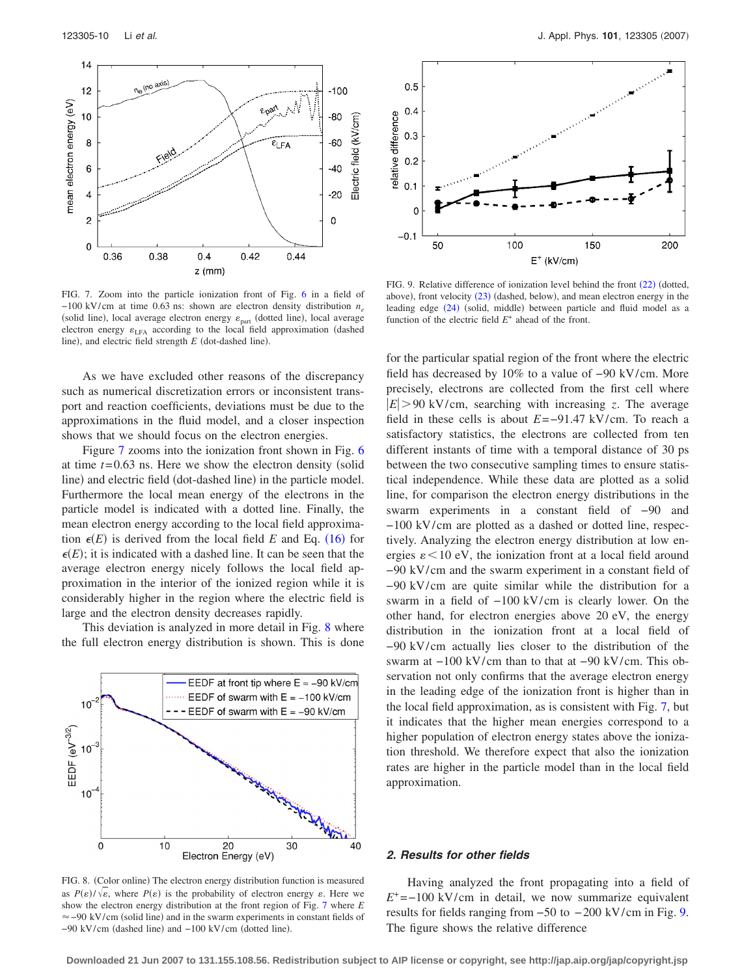<span id="page-9-0"></span>

FIG. 7. Zoom into the particle ionization front of Fig. [6](#page-8-3) in a field of −100 kV/cm at time 0.63 ns: shown are electron density distribution *ne* (solid line), local average electron energy  $\varepsilon_{part}$  (dotted line), local average electron energy  $\varepsilon_{\text{LFA}}$  according to the local field approximation (dashed line), and electric field strength  $E$  (dot-dashed line).

As we have excluded other reasons of the discrepancy such as numerical discretization errors or inconsistent transport and reaction coefficients, deviations must be due to the approximations in the fluid model, and a closer inspection shows that we should focus on the electron energies.

Figure [7](#page-9-0) zooms into the ionization front shown in Fig. [6](#page-8-3) at time  $t = 0.63$  ns. Here we show the electron density (solid line) and electric field (dot-dashed line) in the particle model. Furthermore the local mean energy of the electrons in the particle model is indicated with a dotted line. Finally, the mean electron energy according to the local field approximation  $\epsilon(E)$  is derived from the local field *E* and Eq. ([16](#page-5-3)) for  $\epsilon(E)$ ; it is indicated with a dashed line. It can be seen that the average electron energy nicely follows the local field approximation in the interior of the ionized region while it is considerably higher in the region where the electric field is large and the electron density decreases rapidly.

This deviation is analyzed in more detail in Fig. [8](#page-9-1) where the full electron energy distribution is shown. This is done

<span id="page-9-1"></span>

<span id="page-9-2"></span>

FIG. 9. Relative difference of ionization level behind the front  $(22)$  $(22)$  $(22)$  (dotted, above), front velocity ([23](#page-10-1)) (dashed, below), and mean electron energy in the leading edge ([24](#page-10-2)) (solid, middle) between particle and fluid model as a function of the electric field *E*<sup>+</sup> ahead of the front.

for the particular spatial region of the front where the electric field has decreased by 10% to a value of −90 kV/cm. More precisely, electrons are collected from the first cell where  $|E| > 90$  kV/cm, searching with increasing *z*. The average field in these cells is about *E*=−91.47 kV/cm. To reach a satisfactory statistics, the electrons are collected from ten different instants of time with a temporal distance of 30 ps between the two consecutive sampling times to ensure statistical independence. While these data are plotted as a solid line, for comparison the electron energy distributions in the swarm experiments in a constant field of −90 and −100 kV/cm are plotted as a dashed or dotted line, respectively. Analyzing the electron energy distribution at low energies  $\varepsilon$  < 10 eV, the ionization front at a local field around −90 kV/cm and the swarm experiment in a constant field of −90 kV/cm are quite similar while the distribution for a swarm in a field of −100 kV/cm is clearly lower. On the other hand, for electron energies above 20 eV, the energy distribution in the ionization front at a local field of −90 kV/cm actually lies closer to the distribution of the swarm at −100 kV/cm than to that at −90 kV/cm. This observation not only confirms that the average electron energy in the leading edge of the ionization front is higher than in the local field approximation, as is consistent with Fig. [7,](#page-9-0) but it indicates that the higher mean energies correspond to a higher population of electron energy states above the ionization threshold. We therefore expect that also the ionization rates are higher in the particle model than in the local field approximation.

## *2. Results for other fields*

FIG. 8. (Color online) The electron energy distribution function is measured as  $P(\varepsilon)/\sqrt{\varepsilon}$ , where  $P(\varepsilon)$  is the probability of electron energy  $\varepsilon$ . Here we show the electron energy distribution at the front region of Fig. [7](#page-9-0) where *E* ≈-90 kV/cm (solid line) and in the swarm experiments in constant fields of -90 kV/cm (dashed line) and -100 kV/cm (dotted line).

# Having analyzed the front propagating into a field of *E*<sup>+</sup> =−100 kV/cm in detail, we now summarize equivalent results for fields ranging from −50 to − 200 kV/cm in Fig. [9.](#page-9-2) The figure shows the relative difference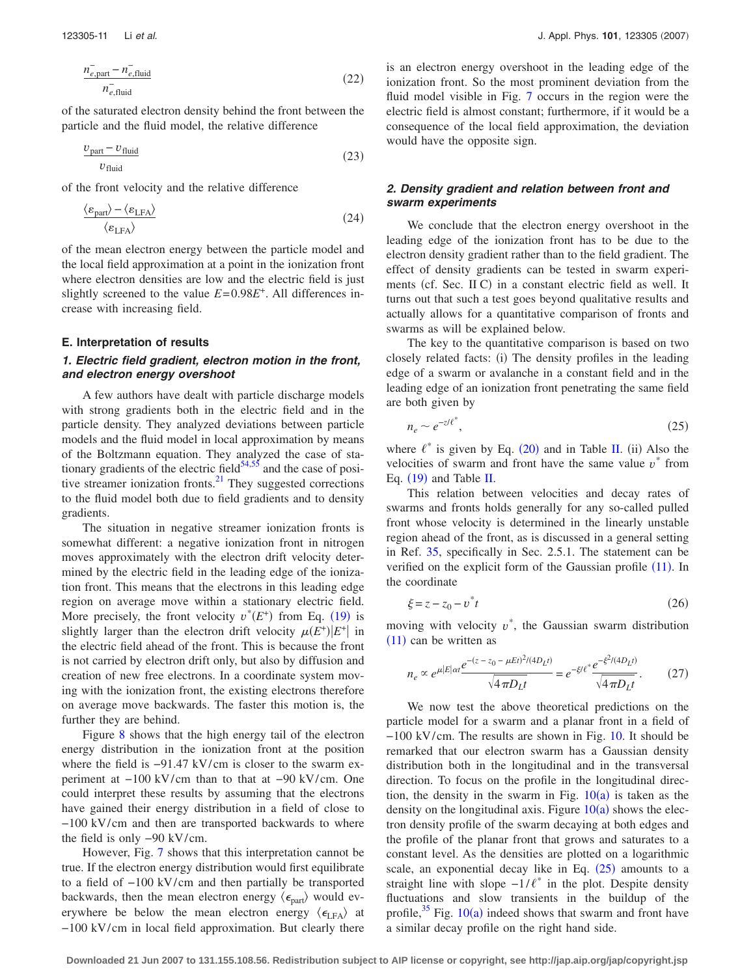<span id="page-10-0"></span>
$$
\frac{n_{e,\text{part}} - n_{e,\text{fluid}}}{n_{e,\text{fluid}}} \tag{22}
$$

<span id="page-10-1"></span>of the saturated electron density behind the front between the particle and the fluid model, the relative difference

$$
\frac{v_{\text{part}} - v_{\text{fluid}}}{v_{\text{fluid}}}
$$
 (23)

<span id="page-10-2"></span>of the front velocity and the relative difference

$$
\frac{\langle \varepsilon_{\text{part}} \rangle - \langle \varepsilon_{\text{LFA}} \rangle}{\langle \varepsilon_{\text{LFA}} \rangle} \tag{24}
$$

of the mean electron energy between the particle model and the local field approximation at a point in the ionization front where electron densities are low and the electric field is just slightly screened to the value  $E=0.98E^+$ . All differences increase with increasing field.

#### **E. Interpretation of results**

## *1. Electric field gradient, electron motion in the front, and electron energy overshoot*

A few authors have dealt with particle discharge models with strong gradients both in the electric field and in the particle density. They analyzed deviations between particle models and the fluid model in local approximation by means of the Boltzmann equation. They analyzed the case of stationary gradients of the electric field $54.55$  and the case of positive streamer ionization fronts. $^{21}$  They suggested corrections to the fluid model both due to field gradients and to density gradients.

The situation in negative streamer ionization fronts is somewhat different: a negative ionization front in nitrogen moves approximately with the electron drift velocity determined by the electric field in the leading edge of the ionization front. This means that the electrons in this leading edge region on average move within a stationary electric field. More precisely, the front velocity  $v^*(E^+)$  from Eq. ([19](#page-8-4)) is slightly larger than the electron drift velocity  $\mu(E^+)|E^+|$  in the electric field ahead of the front. This is because the front is not carried by electron drift only, but also by diffusion and creation of new free electrons. In a coordinate system moving with the ionization front, the existing electrons therefore on average move backwards. The faster this motion is, the further they are behind.

Figure [8](#page-9-1) shows that the high energy tail of the electron energy distribution in the ionization front at the position where the field is −91.47 kV/cm is closer to the swarm experiment at −100 kV/cm than to that at −90 kV/cm. One could interpret these results by assuming that the electrons have gained their energy distribution in a field of close to −100 kV/cm and then are transported backwards to where the field is only −90 kV/cm.

However, Fig. [7](#page-9-0) shows that this interpretation cannot be true. If the electron energy distribution would first equilibrate to a field of −100 kV/cm and then partially be transported backwards, then the mean electron energy  $\langle \epsilon_{part} \rangle$  would everywhere be below the mean electron energy  $\langle \epsilon_{\text{LFA}} \rangle$  at −100 kV/cm in local field approximation. But clearly there is an electron energy overshoot in the leading edge of the ionization front. So the most prominent deviation from the fluid model visible in Fig. [7](#page-9-0) occurs in the region were the electric field is almost constant; furthermore, if it would be a consequence of the local field approximation, the deviation would have the opposite sign.

## *2. Density gradient and relation between front and swarm experiments*

We conclude that the electron energy overshoot in the leading edge of the ionization front has to be due to the electron density gradient rather than to the field gradient. The effect of density gradients can be tested in swarm experiments (cf. Sec. II C) in a constant electric field as well. It turns out that such a test goes beyond qualitative results and actually allows for a quantitative comparison of fronts and swarms as will be explained below.

The key to the quantitative comparison is based on two closely related facts: (i) The density profiles in the leading edge of a swarm or avalanche in a constant field and in the leading edge of an ionization front penetrating the same field are both given by

<span id="page-10-3"></span>
$$
n_e \sim e^{-z/\ell^*},\tag{25}
$$

where  $\ell^*$  is given by Eq. ([20](#page-8-5)) and in Table [II.](#page-8-0) (ii) Also the velocities of swarm and front have the same value *v*\* from Eq.  $(19)$  $(19)$  $(19)$  and Table [II.](#page-8-0)

This relation between velocities and decay rates of swarms and fronts holds generally for any so-called pulled front whose velocity is determined in the linearly unstable region ahead of the front, as is discussed in a general setting in Ref. [35,](#page-13-14) specifically in Sec. 2.5.1. The statement can be verified on the explicit form of the Gaussian profile ([11](#page-5-0)). In the coordinate

$$
\xi = z - z_0 - v^* t \tag{26}
$$

moving with velocity *v*\* , the Gaussian swarm distribution  $(11)$  $(11)$  $(11)$  can be written as

$$
n_e \propto e^{\mu |E| \alpha t} \frac{e^{-(z - z_0 - \mu E t)^2 / (4D_L t)}}{\sqrt{4 \pi D_L t}} = e^{-\xi / \ell^*} \frac{e^{-\xi^2 / (4D_L t)}}{\sqrt{4 \pi D_L t}}.
$$
 (27)

We now test the above theoretical predictions on the particle model for a swarm and a planar front in a field of −100 kV/cm. The results are shown in Fig. [10.](#page-11-0) It should be remarked that our electron swarm has a Gaussian density distribution both in the longitudinal and in the transversal direction. To focus on the profile in the longitudinal direction, the density in the swarm in Fig.  $10(a)$  $10(a)$  is taken as the density on the longitudinal axis. Figure  $10(a)$  $10(a)$  shows the electron density profile of the swarm decaying at both edges and the profile of the planar front that grows and saturates to a constant level. As the densities are plotted on a logarithmic scale, an exponential decay like in Eq.  $(25)$  $(25)$  $(25)$  amounts to a straight line with slope  $-1/\ell^*$  in the plot. Despite density fluctuations and slow transients in the buildup of the profile,  $3^5$  Fig. [10](#page-11-0)(a) indeed shows that swarm and front have a similar decay profile on the right hand side.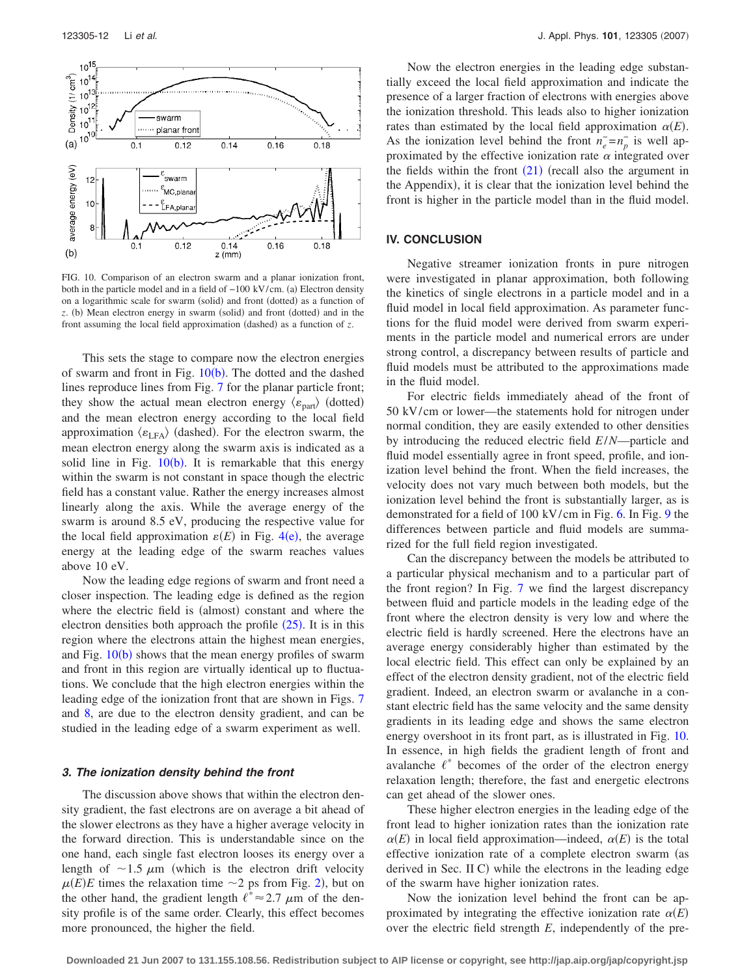<span id="page-11-0"></span>

FIG. 10. Comparison of an electron swarm and a planar ionization front, both in the particle model and in a field of -100 kV/cm. (a) Electron density on a logarithmic scale for swarm (solid) and front (dotted) as a function of z. (b) Mean electron energy in swarm (solid) and front (dotted) and in the front assuming the local field approximation (dashed) as a function of z.

This sets the stage to compare now the electron energies of swarm and front in Fig.  $10(b)$  $10(b)$ . The dotted and the dashed lines reproduce lines from Fig. [7](#page-9-0) for the planar particle front; they show the actual mean electron energy  $\langle \varepsilon_{part} \rangle$  (dotted) and the mean electron energy according to the local field approximation  $\langle \varepsilon_{\text{LFA}} \rangle$  (dashed). For the electron swarm, the mean electron energy along the swarm axis is indicated as a solid line in Fig.  $10(b)$  $10(b)$ . It is remarkable that this energy within the swarm is not constant in space though the electric field has a constant value. Rather the energy increases almost linearly along the axis. While the average energy of the swarm is around 8.5 eV, producing the respective value for the local field approximation  $\varepsilon(E)$  in Fig. [4](#page-6-0)(e), the average energy at the leading edge of the swarm reaches values above 10 eV.

Now the leading edge regions of swarm and front need a closer inspection. The leading edge is defined as the region where the electric field is (almost) constant and where the electron densities both approach the profile  $(25)$  $(25)$  $(25)$ . It is in this region where the electrons attain the highest mean energies, and Fig.  $10(b)$  $10(b)$  shows that the mean energy profiles of swarm and front in this region are virtually identical up to fluctuations. We conclude that the high electron energies within the leading edge of the ionization front that are shown in Figs. [7](#page-9-0) and [8,](#page-9-1) are due to the electron density gradient, and can be studied in the leading edge of a swarm experiment as well.

#### *3. The ionization density behind the front*

The discussion above shows that within the electron density gradient, the fast electrons are on average a bit ahead of the slower electrons as they have a higher average velocity in the forward direction. This is understandable since on the one hand, each single fast electron looses its energy over a length of  $\sim$ 1.5  $\mu$ m (which is the electron drift velocity  $\mu(E)E$  times the relaxation time  $\sim$  [2](#page-4-0) ps from Fig. 2), but on the other hand, the gradient length  $\ell^* \approx 2.7 \mu m$  of the density profile is of the same order. Clearly, this effect becomes more pronounced, the higher the field.

Now the electron energies in the leading edge substantially exceed the local field approximation and indicate the presence of a larger fraction of electrons with energies above the ionization threshold. This leads also to higher ionization rates than estimated by the local field approximation  $\alpha(E)$ . As the ionization level behind the front  $n_e^- = n_p^-$  is well approximated by the effective ionization rate  $\alpha$  integrated over the fields within the front  $(21)$  $(21)$  $(21)$  (recall also the argument in the Appendix), it is clear that the ionization level behind the front is higher in the particle model than in the fluid model.

#### **IV. CONCLUSION**

Negative streamer ionization fronts in pure nitrogen were investigated in planar approximation, both following the kinetics of single electrons in a particle model and in a fluid model in local field approximation. As parameter functions for the fluid model were derived from swarm experiments in the particle model and numerical errors are under strong control, a discrepancy between results of particle and fluid models must be attributed to the approximations made in the fluid model.

For electric fields immediately ahead of the front of 50 kV/cm or lower—the statements hold for nitrogen under normal condition, they are easily extended to other densities by introducing the reduced electric field *E*/*N*—particle and fluid model essentially agree in front speed, profile, and ionization level behind the front. When the field increases, the velocity does not vary much between both models, but the ionization level behind the front is substantially larger, as is demonstrated for a field of 100 kV/cm in Fig. [6.](#page-8-3) In Fig. [9](#page-9-2) the differences between particle and fluid models are summarized for the full field region investigated.

Can the discrepancy between the models be attributed to a particular physical mechanism and to a particular part of the front region? In Fig. [7](#page-9-0) we find the largest discrepancy between fluid and particle models in the leading edge of the front where the electron density is very low and where the electric field is hardly screened. Here the electrons have an average energy considerably higher than estimated by the local electric field. This effect can only be explained by an effect of the electron density gradient, not of the electric field gradient. Indeed, an electron swarm or avalanche in a constant electric field has the same velocity and the same density gradients in its leading edge and shows the same electron energy overshoot in its front part, as is illustrated in Fig. [10.](#page-11-0) In essence, in high fields the gradient length of front and avalanche  $\ell^*$  becomes of the order of the electron energy relaxation length; therefore, the fast and energetic electrons can get ahead of the slower ones.

These higher electron energies in the leading edge of the front lead to higher ionization rates than the ionization rate  $\alpha(E)$  in local field approximation—indeed,  $\alpha(E)$  is the total effective ionization rate of a complete electron swarm (as derived in Sec. II C) while the electrons in the leading edge of the swarm have higher ionization rates.

Now the ionization level behind the front can be approximated by integrating the effective ionization rate  $\alpha(E)$ over the electric field strength *E*, independently of the pre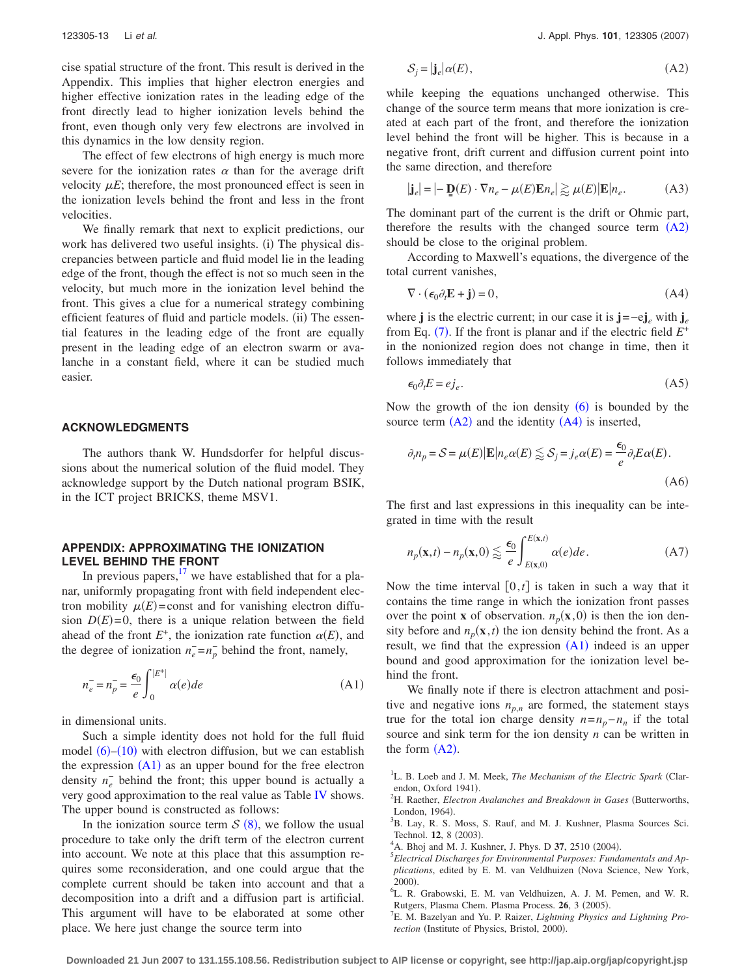cise spatial structure of the front. This result is derived in the Appendix. This implies that higher electron energies and higher effective ionization rates in the leading edge of the front directly lead to higher ionization levels behind the front, even though only very few electrons are involved in this dynamics in the low density region.

The effect of few electrons of high energy is much more severe for the ionization rates  $\alpha$  than for the average drift velocity  $\mu E$ ; therefore, the most pronounced effect is seen in the ionization levels behind the front and less in the front velocities.

We finally remark that next to explicit predictions, our work has delivered two useful insights. (i) The physical discrepancies between particle and fluid model lie in the leading edge of the front, though the effect is not so much seen in the velocity, but much more in the ionization level behind the front. This gives a clue for a numerical strategy combining efficient features of fluid and particle models. (ii) The essential features in the leading edge of the front are equally present in the leading edge of an electron swarm or avalanche in a constant field, where it can be studied much easier.

## **ACKNOWLEDGMENTS**

The authors thank W. Hundsdorfer for helpful discussions about the numerical solution of the fluid model. They acknowledge support by the Dutch national program BSIK, in the ICT project BRICKS, theme MSV1.

# **APPENDIX: APPROXIMATING THE IONIZATION LEVEL BEHIND THE FRONT**

In previous papers,  $17$  we have established that for a planar, uniformly propagating front with field independent electron mobility  $\mu(E)$ =const and for vanishing electron diffusion  $D(E)=0$ , there is a unique relation between the field ahead of the front  $E^+$ , the ionization rate function  $\alpha(E)$ , and the degree of ionization  $n_e^- = n_p^-$  behind the front, namely,

<span id="page-12-7"></span>
$$
n_e^- = n_p^- = \frac{\epsilon_0}{e} \int_0^{|E^+|} \alpha(e) de \tag{A1}
$$

in dimensional units.

Such a simple identity does not hold for the full fluid model  $(6)$  $(6)$  $(6)$ – $(10)$  $(10)$  $(10)$  with electron diffusion, but we can establish the expression  $(A1)$  $(A1)$  $(A1)$  as an upper bound for the free electron density  $n_e^-$  behind the front; this upper bound is actually a very good approximation to the real value as Table [IV](#page-8-2) shows. The upper bound is constructed as follows:

In the ionization source term  $S(8)$  $S(8)$  $S(8)$ , we follow the usual procedure to take only the drift term of the electron current into account. We note at this place that this assumption requires some reconsideration, and one could argue that the complete current should be taken into account and that a decomposition into a drift and a diffusion part is artificial. This argument will have to be elaborated at some other place. We here just change the source term into

<span id="page-12-8"></span>
$$
S_j = |j_e| \alpha(E), \tag{A2}
$$

while keeping the equations unchanged otherwise. This change of the source term means that more ionization is created at each part of the front, and therefore the ionization level behind the front will be higher. This is because in a negative front, drift current and diffusion current point into the same direction, and therefore

$$
|\mathbf{j}_e| = \left| -\mathbf{Q}(E) \cdot \nabla n_e - \mu(E)\mathbf{E} n_e \right| \gtrsim \mu(E) |\mathbf{E}| n_e.
$$
 (A3)

The dominant part of the current is the drift or Ohmic part, therefore the results with the changed source term  $(A2)$  $(A2)$  $(A2)$ should be close to the original problem.

According to Maxwell's equations, the divergence of the total current vanishes,

$$
\nabla \cdot (\epsilon_0 \partial_t \mathbf{E} + \mathbf{j}) = 0,\tag{A4}
$$

<span id="page-12-9"></span>where **j** is the electric current; in our case it is  $\mathbf{j} = -e\mathbf{j}_e$  with  $\mathbf{j}_e$ from Eq. ([7](#page-3-1)). If the front is planar and if the electric field  $E^+$ in the nonionized region does not change in time, then it follows immediately that

$$
\epsilon_0 \partial_t E = e j_e. \tag{A5}
$$

Now the growth of the ion density  $(6)$  $(6)$  $(6)$  is bounded by the source term  $(A2)$  $(A2)$  $(A2)$  and the identity  $(A4)$  $(A4)$  $(A4)$  is inserted,

$$
\partial_t n_p = S = \mu(E) |\mathbf{E}| n_e \alpha(E) \lesssim S_j = j_e \alpha(E) = \frac{\epsilon_0}{e} \partial_t E \alpha(E).
$$
\n(A6)

The first and last expressions in this inequality can be integrated in time with the result

$$
n_p(\mathbf{x},t) - n_p(\mathbf{x},0) \lessapprox \frac{\epsilon_0}{e} \int_{E(\mathbf{x},0)}^{E(\mathbf{x},t)} \alpha(e) de.
$$
 (A7)

Now the time interval  $[0,t]$  is taken in such a way that it contains the time range in which the ionization front passes over the point **x** of observation.  $n_p(\mathbf{x}, 0)$  is then the ion density before and  $n_p(\mathbf{x}, t)$  the ion density behind the front. As a result, we find that the expression  $(A1)$  $(A1)$  $(A1)$  indeed is an upper bound and good approximation for the ionization level behind the front.

We finally note if there is electron attachment and positive and negative ions  $n_{p,n}$  are formed, the statement stays true for the total ion charge density  $n=n_p-n_n$  if the total source and sink term for the ion density *n* can be written in the form  $(A2)$  $(A2)$  $(A2)$ .

- <span id="page-12-1"></span><sup>2</sup>H. Raether, *Electron Avalanches and Breakdown in Gases* (Butterworths, London, 1964).<br> $^{3}P$  Lov, P. S.
- <span id="page-12-2"></span> $B^3B$ . Lay, R. S. Moss, S. Rauf, and M. J. Kushner, Plasma Sources Sci. Technol. **12**, 8 (2003).
- <span id="page-12-3"></span><sup>4</sup>A. Bhoj and M. J. Kushner, J. Phys. D **37**, 2510 (2004).
- <span id="page-12-4"></span>*Electrical Discharges for Environmental Purposes: Fundamentals and Applications*, edited by E. M. van Veldhuizen (Nova Science, New York,  $2000$ ). . <sup>6</sup> L. R. Grabowski, E. M. van Veldhuizen, A. J. M. Pemen, and W. R.
- <span id="page-12-5"></span>Rutgers, Plasma Chem. Plasma Process. **26**, 3 (2005).
- <span id="page-12-6"></span>E. M. Bazelyan and Yu. P. Raizer, *Lightning Physics and Lightning Pro*tection (Institute of Physics, Bristol, 2000).

<span id="page-12-0"></span><sup>&</sup>lt;sup>1</sup>L. B. Loeb and J. M. Meek, *The Mechanism of the Electric Spark* (Clarendon, Oxford 1941).